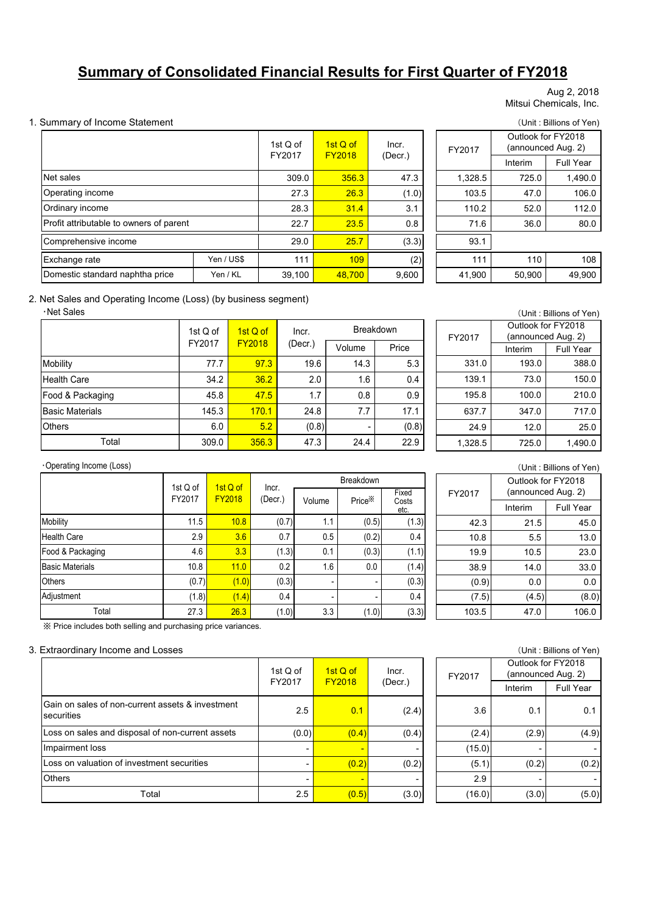# **Summary of Consolidated Financial Results for First Quarter of FY2018**

Aug 2, 2018 Mitsui Chemicals, Inc.

#### 1. Summary of Income Statement (Unit : Billions of Yen)

|                                         | 1st Q of<br>FY2017 | 1st Q of<br><b>FY2018</b> | Incr.<br>(Decr.) | FY2017  |
|-----------------------------------------|--------------------|---------------------------|------------------|---------|
|                                         | 309.0              | 356.3                     | 47.3             | 1,328.5 |
| Operating income                        |                    | 26.3                      | (1.0)            | 103.5   |
|                                         | 28.3               | 31.4                      | 3.1              | 110.2   |
| Profit attributable to owners of parent |                    |                           | 0.8              | 71.6    |
| Comprehensive income                    |                    |                           | (3.3)            | 93.1    |
| Yen / US\$                              | 111                | 109                       | (2)              | 111     |
| Yen / KL                                | 39,100             | 48,700                    | 9,600            | 41,900  |
|                                         |                    | 27.3<br>22.7<br>29.0      | 23.5<br>25.7     |         |

| : Q of<br>2017 | 1st Q of<br><b>FY2018</b> | Incr.   |  | FY2017  | Outlook for FY2018 | (announced Aug. 2) |
|----------------|---------------------------|---------|--|---------|--------------------|--------------------|
|                |                           | (Decr.) |  |         | Interim            | <b>Full Year</b>   |
| 309.0          | 356.3                     | 47.3    |  | 1,328.5 | 725.0              | 1,490.0            |
| 27.3           | 26.3                      | (1.0)   |  | 103.5   | 47.0               | 106.0              |
| 28.3           | 31.4                      | 3.1     |  | 110.2   | 52.0               | 112.0              |
| 22.7           | 23.5                      | 0.8     |  | 71.6    | 36.0               | 80.0               |
| 29.0           | 25.7                      | (3.3)   |  | 93.1    |                    |                    |
| 111            | 109                       | (2)     |  | 111     | 110                | 108                |
| 39,100         | 48.700                    | 9.600   |  | 41,900  | 50,900             | 49,900             |

#### 2. Net Sales and Operating Income (Loss) (by business segment)

#### ・Net Sales

|                        | 1st Q of | $1stQ$ of     | Incr.   | <b>Breakdown</b> |       |  |
|------------------------|----------|---------------|---------|------------------|-------|--|
|                        | FY2017   | <b>FY2018</b> | (Decr.) | Volume           | Price |  |
| Mobility               | 77.7     | 97.3          | 19.6    | 14.3             | 5.3   |  |
| <b>Health Care</b>     | 34.2     | 36.2          | 2.0     | 1.6              | 0.4   |  |
| Food & Packaging       | 45.8     | 47.5          | 1.7     | 0.8              | 0.9   |  |
| <b>Basic Materials</b> | 145.3    | 170.1         | 24.8    | 7.7              | 17.1  |  |
| <b>Others</b>          | 6.0      | 5.2           | (0.8)   |                  | (0.8) |  |
| Total                  | 309.0    | 356.3         | 47.3    | 24.4             | 22.9  |  |

| (Unit: Billions of Yen) |                    |                    |  |  |  |  |  |
|-------------------------|--------------------|--------------------|--|--|--|--|--|
|                         | Outlook for FY2018 |                    |  |  |  |  |  |
| FY2017                  |                    | (announced Aug. 2) |  |  |  |  |  |
|                         | Interim            | <b>Full Year</b>   |  |  |  |  |  |
| 331.0                   | 193.0              | 388.0              |  |  |  |  |  |
| 139.1                   | 73.0               | 150.0              |  |  |  |  |  |
| 195.8                   | 100.0              | 210.0              |  |  |  |  |  |
| 637.7                   | 347.0              | 717.0              |  |  |  |  |  |
| 24.9                    | 12.0               | 25.0               |  |  |  |  |  |
| 1.328.5                 | 725.0              | 1,490.0            |  |  |  |  |  |

#### ・Operating Income (Loss)

|                        |                                                 |       |                  | <b>Breakdown</b> |                    |                        |  |  |
|------------------------|-------------------------------------------------|-------|------------------|------------------|--------------------|------------------------|--|--|
|                        | 1st Q of<br>1st Q of<br><b>FY2018</b><br>FY2017 |       | Incr.<br>(Decr.) | Volume           | Price <sup>*</sup> | Fixed<br>Costs<br>etc. |  |  |
| Mobility               | 11.5                                            | 10.8  | (0.7)            | 1.1              | (0.5)              | (1.3)                  |  |  |
| <b>Health Care</b>     | 2.9                                             | 3.6   | 0.7              | 0.5              | (0.2)              | 0.4                    |  |  |
| Food & Packaging       | 4.6                                             | 3.3   | (1.3)            | 0.1              | (0.3)              | (1.1)                  |  |  |
| <b>Basic Materials</b> | 10.8                                            | 11.0  | 0.2              | 1.6              | 0.0                | (1.4)                  |  |  |
| <b>Others</b>          | (0.7)                                           | (1.0) | (0.3)            | ٠                | -                  | (0.3)                  |  |  |
| Adjustment             | (1.8)                                           | (1.4) | 0.4              | ٠                |                    | 0.4                    |  |  |
| Total                  | 27.3                                            | 26.3  | (1.0)            | 3.3              | (1.0)              | (3.3)                  |  |  |

| (Unit: Billions of Yen) |
|-------------------------|
| itlook for EV2018       |

| FY2017 | Outlook for FY2018<br>(announced Aug. 2) |                  |  |  |  |
|--------|------------------------------------------|------------------|--|--|--|
|        | Interim                                  | <b>Full Year</b> |  |  |  |
| 42.3   | 21.5                                     | 45.0             |  |  |  |
| 10.8   | 5.5                                      | 13.0             |  |  |  |
| 19.9   | 10.5                                     | 23.0             |  |  |  |
| 38.9   | 14.0                                     | 33.0             |  |  |  |
| (0.9)  | 0.0                                      | 0.0              |  |  |  |
| (7.5)  | (4.5)                                    | (8.0)            |  |  |  |
| 103.5  | 47.0                                     | 106.0            |  |  |  |

※ Price includes both selling and purchasing price variances.

#### 3. Extraordinary Income and Losses (Unit : Billions of Yen)

|                                                                | 1st Q of<br>FY2017 | $1stQ$ of<br><b>FY2018</b> | Incr.<br>(Decr.) | FY2017 |
|----------------------------------------------------------------|--------------------|----------------------------|------------------|--------|
| Gain on sales of non-current assets & investment<br>securities | 2.5                | 0.1                        | (2.4)            | 3      |
| Loss on sales and disposal of non-current assets               | (0.0)              | (0.4)                      | (0.4)            | (2     |
| Impairment loss                                                |                    |                            |                  | (15    |
| Loss on valuation of investment securities                     |                    | (0.2)                      | (0.2)            | (5)    |
| <b>Others</b>                                                  |                    |                            | -                | 2      |
| Total                                                          | 2.5                | (0.5)                      | (3.0)            | (16)   |

|          |               |         |        |                    | (UIIII. DIIIUIS UI TEII) |
|----------|---------------|---------|--------|--------------------|--------------------------|
| of<br>17 | 1st Q of      | Incr.   | FY2017 | Outlook for FY2018 | (announced Aug. 2)       |
|          | <b>FY2018</b> | (Decr.) |        | Interim            | <b>Full Year</b>         |
| 2.5      | 0.1           | (2.4)   | 3.6    | 0.1                | 0.1                      |
| (0.0)    | (0.4)         | (0.4)   | (2.4)  | (2.9)              | (4.9)                    |
| -        | ٠             |         | (15.0) |                    |                          |
| ٠        | (0.2)         | (0.2)   | (5.1)  | (0.2)              | (0.2)                    |
|          | ٠             |         | 2.9    |                    |                          |
| 2.5      | (0.5)         | (3.0)   | (16.0) | (3.0)              | (5.0)                    |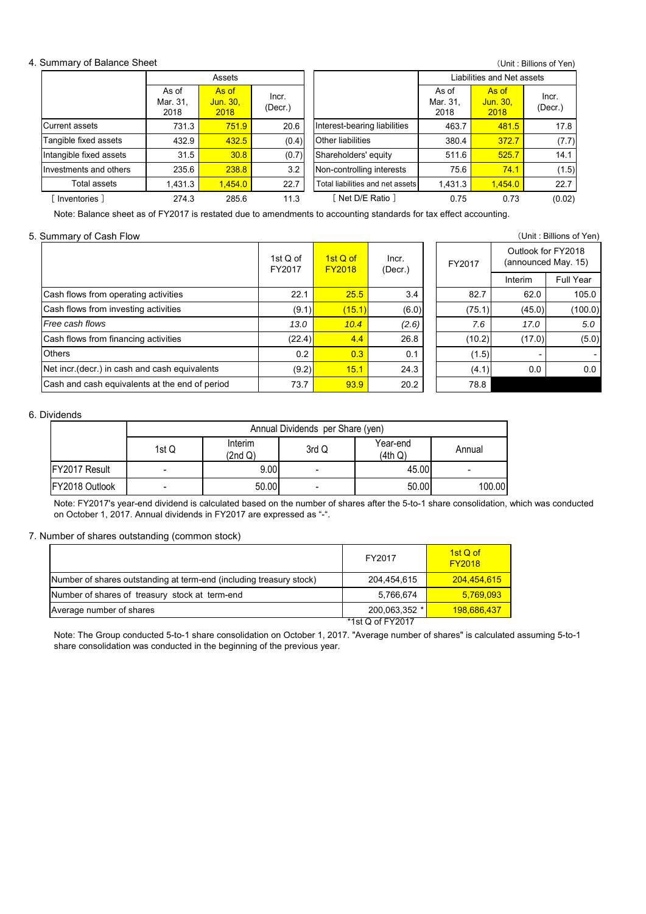#### 4. Summary of Balance Sheet

| Summary of Balance Sheet |                           |                           |                  |                                  |                            |                           | (Unit: Billions of Yen) |  |
|--------------------------|---------------------------|---------------------------|------------------|----------------------------------|----------------------------|---------------------------|-------------------------|--|
|                          |                           | Assets                    |                  |                                  | Liabilities and Net assets |                           |                         |  |
|                          | As of<br>Mar. 31.<br>2018 | As of<br>Jun. 30,<br>2018 | Incr.<br>(Decr.) |                                  | As of<br>Mar. 31.<br>2018  | As of<br>Jun. 30,<br>2018 | Incr.<br>(Decr.)        |  |
| <b>Current assets</b>    | 731.3                     | 751.9                     | 20.6             | Interest-bearing liabilities     | 463.7                      | 481.5                     | 17.8                    |  |
| Tangible fixed assets    | 432.9                     | 432.5                     | (0.4)            | Other liabilities                | 380.4                      | 372.7                     | (7.7)                   |  |
| Intangible fixed assets  | 31.5                      | 30.8                      | (0.7)            | Shareholders' equity             | 511.6                      | 525.7                     | 14.1                    |  |
| Investments and others   | 235.6                     | 238.8                     | 3.2              | Non-controlling interests        | 75.6                       | 74.1                      | (1.5)                   |  |
| Total assets             | 1,431.3                   | 1,454.0                   | 22.7             | Total liabilities and net assets | 1,431.3                    | 1,454.0                   | 22.7                    |  |
| Inventories 1            | 274.3                     | 285.6                     | 11.3             | Net D/E Ratio 1                  | 0.75                       | 0.73                      | (0.02)                  |  |

Note: Balance sheet as of FY2017 is restated due to amendments to accounting standards for tax effect accounting.

| 5. Summary of Cash Flow                        |                      |                           |                  |  |        |                                           | (Unit: Billions of Yen) |  |  |  |  |  |  |  |         |           |
|------------------------------------------------|----------------------|---------------------------|------------------|--|--------|-------------------------------------------|-------------------------|--|--|--|--|--|--|--|---------|-----------|
|                                                | 1st $Q$ of<br>FY2017 | 1st Q of<br><b>FY2018</b> | Incr.<br>(Decr.) |  | FY2017 | Outlook for FY2018<br>(announced May. 15) |                         |  |  |  |  |  |  |  |         |           |
|                                                |                      |                           |                  |  |        |                                           |                         |  |  |  |  |  |  |  | Interim | Full Year |
| Cash flows from operating activities           | 22.1                 | 25.5                      | 3.4              |  | 82.7   | 62.0                                      | 105.0                   |  |  |  |  |  |  |  |         |           |
| Cash flows from investing activities           | (9.1)                | (15.1)                    | (6.0)            |  | (75.1) | (45.0)                                    | (100.0)                 |  |  |  |  |  |  |  |         |           |
| Free cash flows                                | 13.0                 | 10.4                      | (2.6)            |  | 7.6    | 17.0                                      | 5.0                     |  |  |  |  |  |  |  |         |           |
| Cash flows from financing activities           | (22.4)               | 4.4                       | 26.8             |  | (10.2) | (17.0)                                    | (5.0)                   |  |  |  |  |  |  |  |         |           |
| <b>Others</b>                                  | 0.2                  | 0.3                       | 0.1              |  | (1.5)  |                                           |                         |  |  |  |  |  |  |  |         |           |
| Net incr. (decr.) in cash and cash equivalents | (9.2)                | 15.1                      | 24.3             |  | (4.1)  | 0.0                                       | 0.0                     |  |  |  |  |  |  |  |         |           |
| Cash and cash equivalents at the end of period | 73.7                 | 93.9                      | 20.2             |  | 78.8   |                                           |                         |  |  |  |  |  |  |  |         |           |

#### 6. Dividends

|                       | Annual Dividends per Share (yen) |                    |       |                     |        |  |  |  |  |  |  |
|-----------------------|----------------------------------|--------------------|-------|---------------------|--------|--|--|--|--|--|--|
|                       | 1st Q                            | Interim<br>(2nd Q) | 3rd Q | Year-end<br>(4th Q) | Annual |  |  |  |  |  |  |
| <b>IFY2017 Result</b> |                                  | 9.00               |       | 45.00               | -      |  |  |  |  |  |  |
| FY2018 Outlook        |                                  | 50.00              | -     | 50.00               | 100.00 |  |  |  |  |  |  |

Note: FY2017's year-end dividend is calculated based on the number of shares after the 5-to-1 share consolidation, which was conducted on October 1, 2017. Annual dividends in FY2017 are expressed as "-".

7. Number of shares outstanding (common stock)

|                                                                     | FY2017               | $1st$ Q of<br><b>FY2018</b> |
|---------------------------------------------------------------------|----------------------|-----------------------------|
| Number of shares outstanding at term-end (including treasury stock) | 204.454.615          | 204,454,615                 |
| Number of shares of treasury stock at term-end                      | 5,766,674            | 5,769,093                   |
| Average number of shares                                            | 200,063,352 *        | 198,686,437                 |
|                                                                     | $*1st$ Q of $FY2017$ |                             |

Note: The Group conducted 5-to-1 share consolidation on October 1, 2017. "Average number of shares" is calculated assuming 5-to-1 share consolidation was conducted in the beginning of the previous year.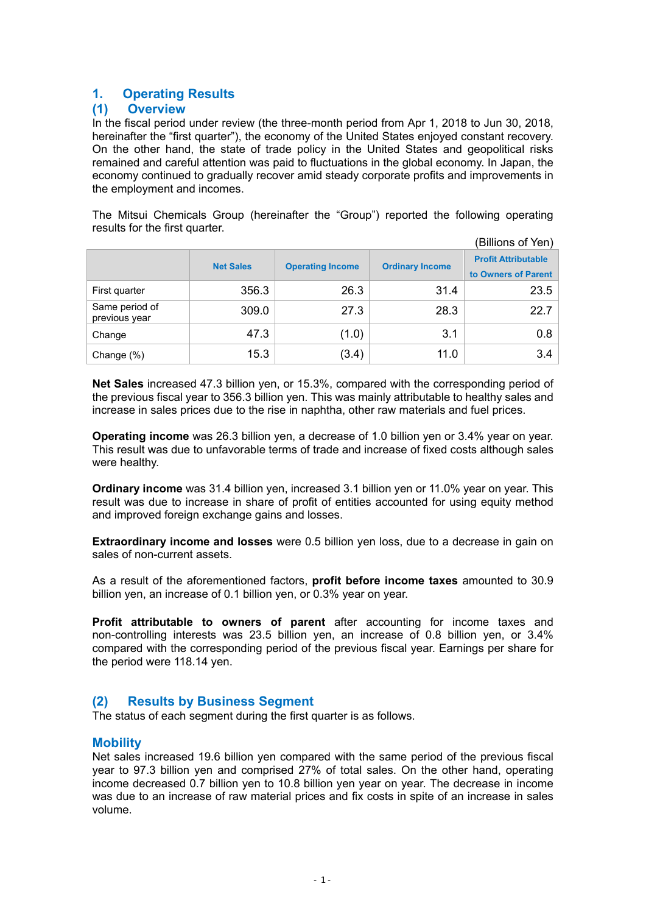# **1. Operating Results**

# **(1) Overview**

In the fiscal period under review (the three-month period from Apr 1, 2018 to Jun 30, 2018, hereinafter the "first quarter"), the economy of the United States enjoyed constant recovery. On the other hand, the state of trade policy in the United States and geopolitical risks remained and careful attention was paid to fluctuations in the global economy. In Japan, the economy continued to gradually recover amid steady corporate profits and improvements in the employment and incomes.

The Mitsui Chemicals Group (hereinafter the "Group") reported the following operating results for the first quarter.  $\zeta$ 

| (Billions of Yen)               |                  |                         |                        |                                                   |  |  |
|---------------------------------|------------------|-------------------------|------------------------|---------------------------------------------------|--|--|
|                                 | <b>Net Sales</b> | <b>Operating Income</b> | <b>Ordinary Income</b> | <b>Profit Attributable</b><br>to Owners of Parent |  |  |
| First quarter                   | 356.3            | 26.3                    | 31.4                   | 23.5                                              |  |  |
| Same period of<br>previous year | 309.0            | 27.3                    | 28.3                   | 22.7                                              |  |  |
| Change                          | 47.3             | (1.0)                   | 3.1                    | 0.8                                               |  |  |
| Change (%)                      | 15.3             | (3.4)                   | 11.0                   | 3.4                                               |  |  |

**Net Sales** increased 47.3 billion yen, or 15.3%, compared with the corresponding period of the previous fiscal year to 356.3 billion yen. This was mainly attributable to healthy sales and increase in sales prices due to the rise in naphtha, other raw materials and fuel prices.

**Operating income** was 26.3 billion yen, a decrease of 1.0 billion yen or 3.4% year on year. This result was due to unfavorable terms of trade and increase of fixed costs although sales were healthy.

**Ordinary income** was 31.4 billion yen, increased 3.1 billion yen or 11.0% year on year. This result was due to increase in share of profit of entities accounted for using equity method and improved foreign exchange gains and losses.

**Extraordinary income and losses** were 0.5 billion yen loss, due to a decrease in gain on sales of non-current assets.

As a result of the aforementioned factors, **profit before income taxes** amounted to 30.9 billion yen, an increase of 0.1 billion yen, or 0.3% year on year.

**Profit attributable to owners of parent** after accounting for income taxes and non-controlling interests was 23.5 billion yen, an increase of 0.8 billion yen, or 3.4% compared with the corresponding period of the previous fiscal year. Earnings per share for the period were 118.14 yen.

# **(2) Results by Business Segment**

The status of each segment during the first quarter is as follows.

# **Mobility**

Net sales increased 19.6 billion yen compared with the same period of the previous fiscal year to 97.3 billion yen and comprised 27% of total sales. On the other hand, operating income decreased 0.7 billion yen to 10.8 billion yen year on year. The decrease in income was due to an increase of raw material prices and fix costs in spite of an increase in sales volume.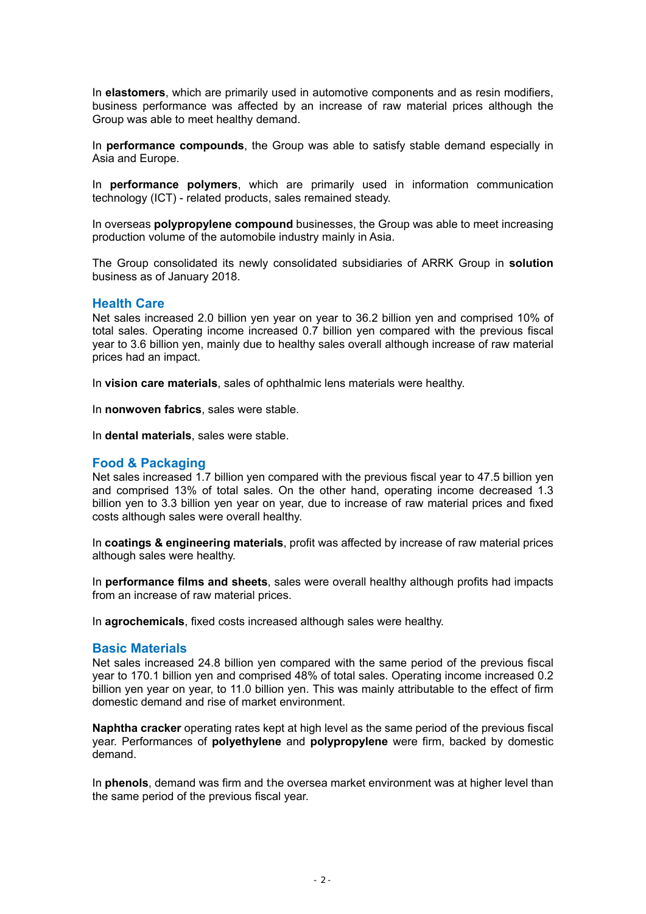In **elastomers**, which are primarily used in automotive components and as resin modifiers, business performance was affected by an increase of raw material prices although the Group was able to meet healthy demand.

In **performance compounds**, the Group was able to satisfy stable demand especially in Asia and Europe.

In **performance polymers**, which are primarily used in information communication technology (ICT) - related products, sales remained steady.

In overseas **polypropylene compound** businesses, the Group was able to meet increasing production volume of the automobile industry mainly in Asia.

The Group consolidated its newly consolidated subsidiaries of ARRK Group in **solution** business as of January 2018.

#### **Health Care**

Net sales increased 2.0 billion yen year on year to 36.2 billion yen and comprised 10% of total sales. Operating income increased 0.7 billion yen compared with the previous fiscal year to 3.6 billion yen, mainly due to healthy sales overall although increase of raw material prices had an impact.

In **vision care materials**, sales of ophthalmic lens materials were healthy.

In **nonwoven fabrics**, sales were stable.

In **dental materials**, sales were stable.

#### **Food & Packaging**

Net sales increased 1.7 billion yen compared with the previous fiscal year to 47.5 billion yen and comprised 13% of total sales. On the other hand, operating income decreased 1.3 billion yen to 3.3 billion yen year on year, due to increase of raw material prices and fixed costs although sales were overall healthy.

In **coatings & engineering materials**, profit was affected by increase of raw material prices although sales were healthy.

In **performance films and sheets**, sales were overall healthy although profits had impacts from an increase of raw material prices.

In **agrochemicals**, fixed costs increased although sales were healthy.

#### **Basic Materials**

Net sales increased 24.8 billion yen compared with the same period of the previous fiscal year to 170.1 billion yen and comprised 48% of total sales. Operating income increased 0.2 billion yen year on year, to 11.0 billion yen. This was mainly attributable to the effect of firm domestic demand and rise of market environment.

**Naphtha cracker** operating rates kept at high level as the same period of the previous fiscal year. Performances of **polyethylene** and **polypropylene** were firm, backed by domestic demand.

In **phenols**, demand was firm and the oversea market environment was at higher level than the same period of the previous fiscal year.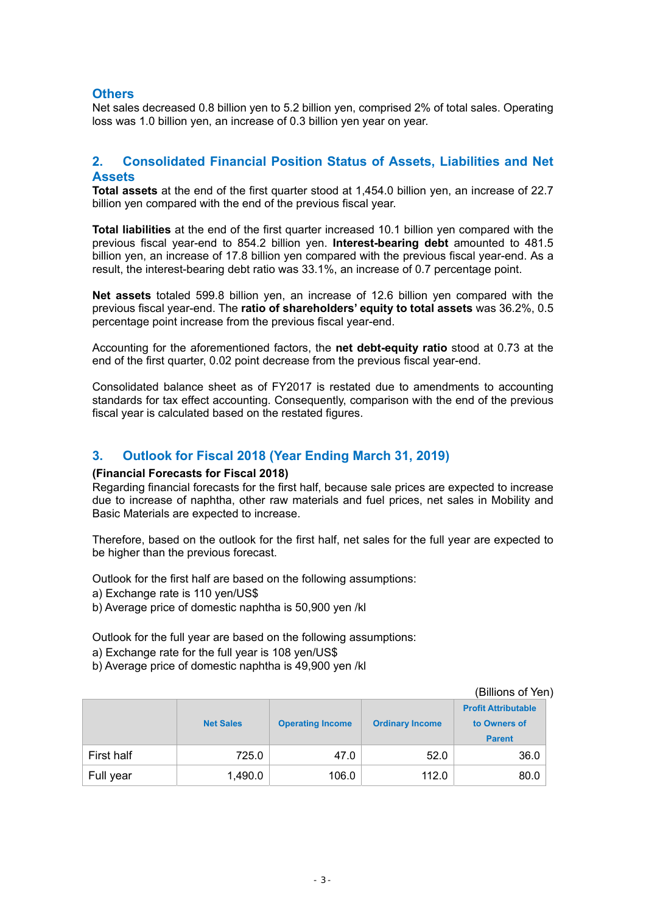# **Others**

Net sales decreased 0.8 billion yen to 5.2 billion yen, comprised 2% of total sales. Operating loss was 1.0 billion yen, an increase of 0.3 billion yen year on year.

# **2. Consolidated Financial Position Status of Assets, Liabilities and Net Assets**

**Total assets** at the end of the first quarter stood at 1,454.0 billion yen, an increase of 22.7 billion yen compared with the end of the previous fiscal year.

**Total liabilities** at the end of the first quarter increased 10.1 billion yen compared with the previous fiscal year-end to 854.2 billion yen. **Interest-bearing debt** amounted to 481.5 billion yen, an increase of 17.8 billion yen compared with the previous fiscal year-end. As a result, the interest-bearing debt ratio was 33.1%, an increase of 0.7 percentage point.

**Net assets** totaled 599.8 billion yen, an increase of 12.6 billion yen compared with the previous fiscal year-end. The **ratio of shareholders' equity to total assets** was 36.2%, 0.5 percentage point increase from the previous fiscal year-end.

Accounting for the aforementioned factors, the **net debt-equity ratio** stood at 0.73 at the end of the first quarter, 0.02 point decrease from the previous fiscal year-end.

Consolidated balance sheet as of FY2017 is restated due to amendments to accounting standards for tax effect accounting. Consequently, comparison with the end of the previous fiscal year is calculated based on the restated figures.

# **3. Outlook for Fiscal 2018 (Year Ending March 31, 2019)**

#### **(Financial Forecasts for Fiscal 2018)**

Regarding financial forecasts for the first half, because sale prices are expected to increase due to increase of naphtha, other raw materials and fuel prices, net sales in Mobility and Basic Materials are expected to increase.

Therefore, based on the outlook for the first half, net sales for the full year are expected to be higher than the previous forecast.

Outlook for the first half are based on the following assumptions:

- a) Exchange rate is 110 yen/US\$
- b) Average price of domestic naphtha is 50,900 yen /kl

Outlook for the full year are based on the following assumptions:

- a) Exchange rate for the full year is 108 yen/US\$
- b) Average price of domestic naphtha is 49,900 yen /kl

| (Billions of Yen) |                  |                         |                        |                                                             |  |  |
|-------------------|------------------|-------------------------|------------------------|-------------------------------------------------------------|--|--|
|                   | <b>Net Sales</b> | <b>Operating Income</b> | <b>Ordinary Income</b> | <b>Profit Attributable</b><br>to Owners of<br><b>Parent</b> |  |  |
| First half        | 725.0            | 47.0                    | 52.0                   | 36.0                                                        |  |  |
| Full year         | 1,490.0          | 106.0                   | 112.0                  | 80.0                                                        |  |  |